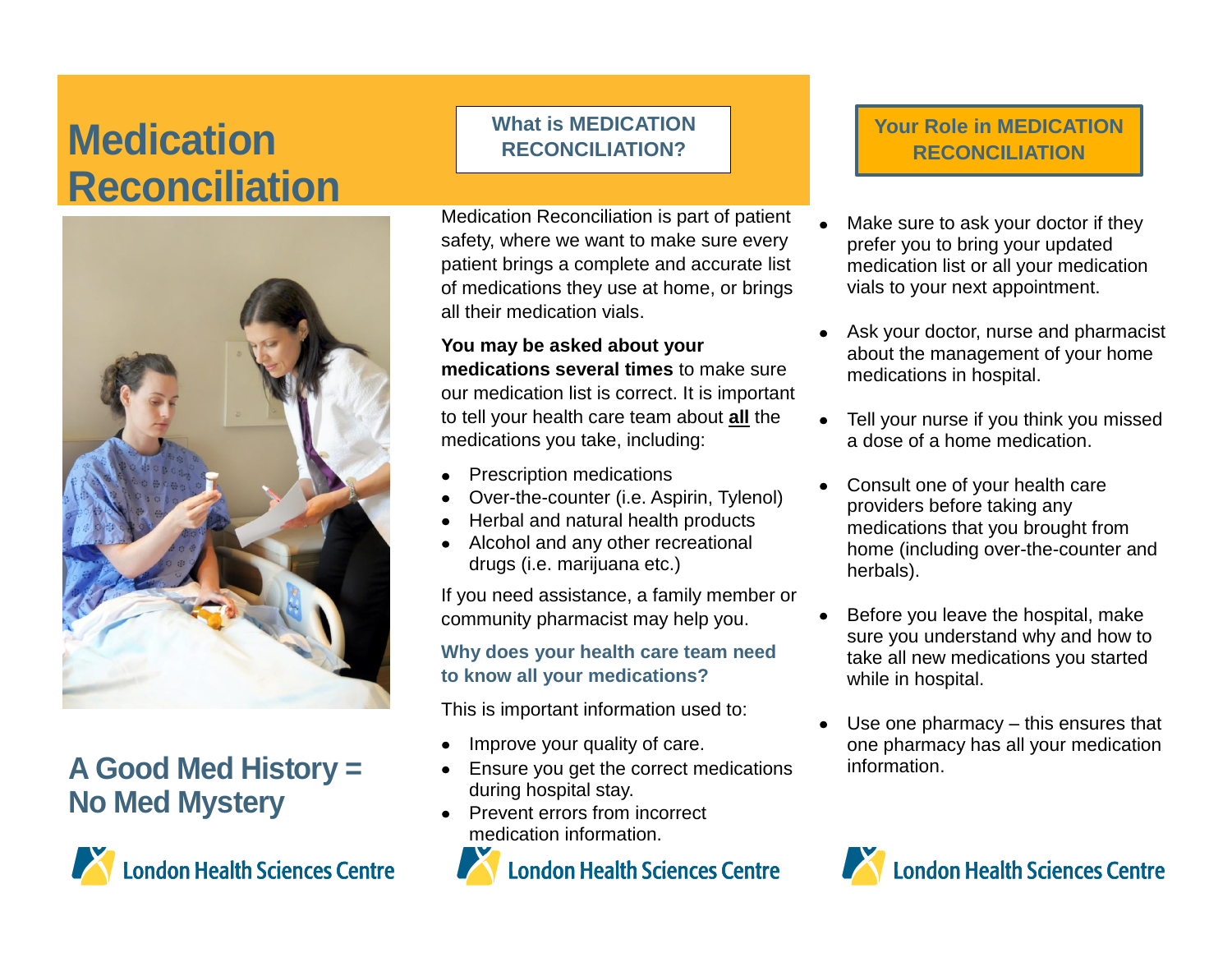# **Medication What is MEDICATION Reconciliation**



## **A Good Med History = No Med Mystery**



Medication Reconciliation is part of patient safety, where we want to make sure every patient brings a complete and accurate list of medications they use at home, or brings all their medication vials.

**You may be asked about your medications several times** to make sure our medication list is correct. It is important to tell your health care team about **all** the medications you take, including:

- Prescription medications
- Over-the-counter (i.e. Aspirin, Tylenol)
- Herbal and natural health products
- Alcohol and any other recreational drugs (i.e. marijuana etc.)

If you need assistance, a family member or community pharmacist may help you.

#### **Why does your health care team need to know all your medications?**

This is important information used to:

- Improve your quality of care.
- Ensure you get the correct medications during hospital stay.
- Prevent errors from incorrect medication information.



#### **Your Role in MEDICATION RECONCILIATION**

- Make sure to ask your doctor if they prefer you to bring your updated medication list or all your medication vials to your next appointment.
- Ask your doctor, nurse and pharmacist about the management of your home medications in hospital.
- Tell your nurse if you think you missed a dose of a home medication.
- Consult one of your health care providers before taking any medications that you brought from home (including over-the-counter and herbals).
- Before you leave the hospital, make sure you understand why and how to take all new medications you started while in hospital.
- Use one pharmacy this ensures that one pharmacy has all your medication information.